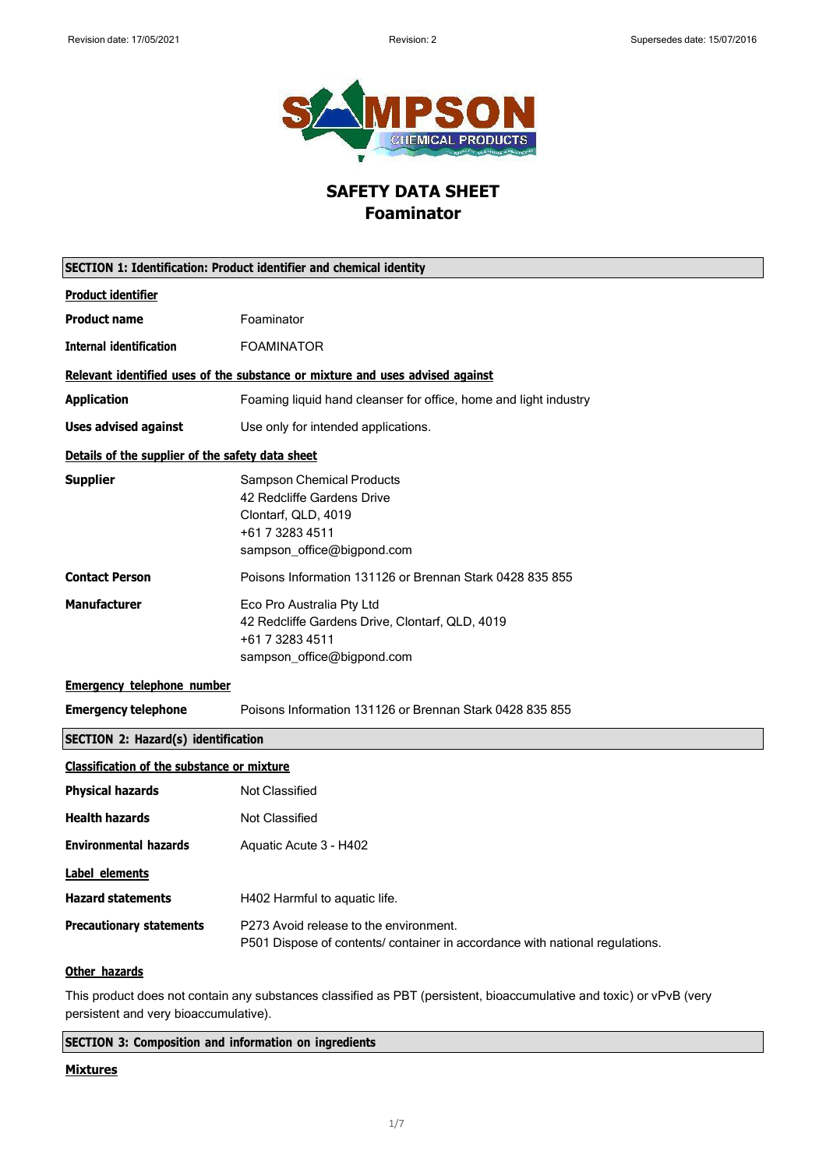

## **SAFETY DATA SHEET Foaminator**

| SECTION 1: Identification: Product identifier and chemical identity |                                                                                                                                        |
|---------------------------------------------------------------------|----------------------------------------------------------------------------------------------------------------------------------------|
| <b>Product identifier</b>                                           |                                                                                                                                        |
| <b>Product name</b>                                                 | Foaminator                                                                                                                             |
| <b>Internal identification</b>                                      | <b>FOAMINATOR</b>                                                                                                                      |
|                                                                     | Relevant identified uses of the substance or mixture and uses advised against                                                          |
| <b>Application</b>                                                  | Foaming liquid hand cleanser for office, home and light industry                                                                       |
| <b>Uses advised against</b>                                         | Use only for intended applications.                                                                                                    |
| Details of the supplier of the safety data sheet                    |                                                                                                                                        |
| <b>Supplier</b>                                                     | <b>Sampson Chemical Products</b><br>42 Redcliffe Gardens Drive<br>Clontarf, QLD, 4019<br>+61 7 3283 4511<br>sampson_office@bigpond.com |
| <b>Contact Person</b>                                               | Poisons Information 131126 or Brennan Stark 0428 835 855                                                                               |
| <b>Manufacturer</b>                                                 | Eco Pro Australia Pty Ltd<br>42 Redcliffe Gardens Drive, Clontarf, QLD, 4019<br>+61 7 3283 4511<br>sampson_office@bigpond.com          |
| <b>Emergency telephone number</b>                                   |                                                                                                                                        |
| <b>Emergency telephone</b>                                          | Poisons Information 131126 or Brennan Stark 0428 835 855                                                                               |
| <b>SECTION 2: Hazard(s) identification</b>                          |                                                                                                                                        |
| <b>Classification of the substance or mixture</b>                   |                                                                                                                                        |
| <b>Physical hazards</b>                                             | <b>Not Classified</b>                                                                                                                  |
| <b>Health hazards</b>                                               | <b>Not Classified</b>                                                                                                                  |
| <b>Environmental hazards</b>                                        | Aquatic Acute 3 - H402                                                                                                                 |
| <b>Label elements</b>                                               |                                                                                                                                        |
| <b>Hazard statements</b>                                            | H402 Harmful to aquatic life.                                                                                                          |
| <b>Precautionary statements</b>                                     | P273 Avoid release to the environment.<br>P501 Dispose of contents/ container in accordance with national regulations.                 |
| Other hazards                                                       |                                                                                                                                        |
|                                                                     | This product does not contain any substances classified as PBT (persistent, bioaccumulative and toxic) or vPvB (very                   |

persistent and very bioaccumulative).

**SECTION 3: Composition and information on ingredients**

#### **Mixtures**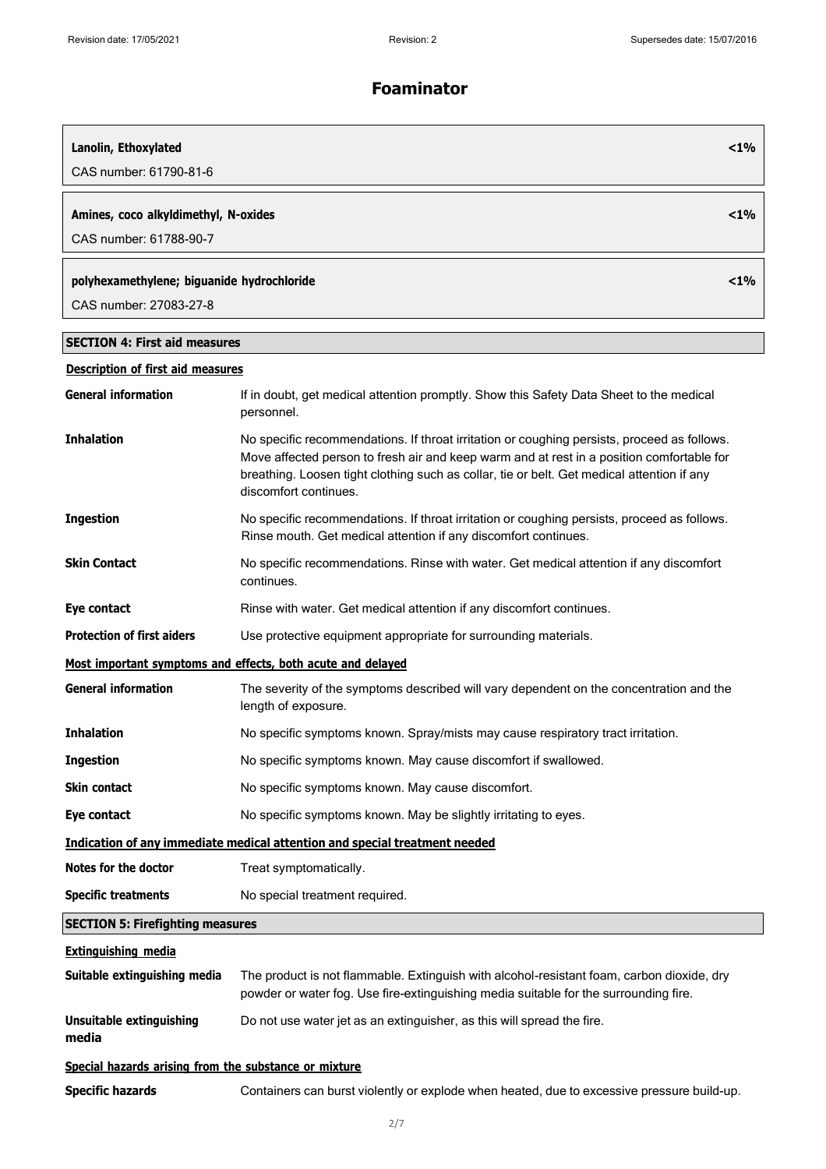| Lanolin, Ethoxylated                                  |                                                                                                                                                                                                                                                                                                                 | $<$ 1% |
|-------------------------------------------------------|-----------------------------------------------------------------------------------------------------------------------------------------------------------------------------------------------------------------------------------------------------------------------------------------------------------------|--------|
| CAS number: 61790-81-6                                |                                                                                                                                                                                                                                                                                                                 |        |
| Amines, coco alkyldimethyl, N-oxides                  |                                                                                                                                                                                                                                                                                                                 | $<$ 1% |
| CAS number: 61788-90-7                                |                                                                                                                                                                                                                                                                                                                 |        |
| polyhexamethylene; biguanide hydrochloride            |                                                                                                                                                                                                                                                                                                                 | $<$ 1% |
| CAS number: 27083-27-8                                |                                                                                                                                                                                                                                                                                                                 |        |
| <b>SECTION 4: First aid measures</b>                  |                                                                                                                                                                                                                                                                                                                 |        |
| <b>Description of first aid measures</b>              |                                                                                                                                                                                                                                                                                                                 |        |
| <b>General information</b>                            | If in doubt, get medical attention promptly. Show this Safety Data Sheet to the medical<br>personnel.                                                                                                                                                                                                           |        |
| <b>Inhalation</b>                                     | No specific recommendations. If throat irritation or coughing persists, proceed as follows.<br>Move affected person to fresh air and keep warm and at rest in a position comfortable for<br>breathing. Loosen tight clothing such as collar, tie or belt. Get medical attention if any<br>discomfort continues. |        |
| <b>Ingestion</b>                                      | No specific recommendations. If throat irritation or coughing persists, proceed as follows.<br>Rinse mouth. Get medical attention if any discomfort continues.                                                                                                                                                  |        |
| <b>Skin Contact</b>                                   | No specific recommendations. Rinse with water. Get medical attention if any discomfort<br>continues.                                                                                                                                                                                                            |        |
| Eye contact                                           | Rinse with water. Get medical attention if any discomfort continues.                                                                                                                                                                                                                                            |        |
| <b>Protection of first aiders</b>                     | Use protective equipment appropriate for surrounding materials.                                                                                                                                                                                                                                                 |        |
|                                                       | Most important symptoms and effects, both acute and delayed                                                                                                                                                                                                                                                     |        |
| <b>General information</b>                            | The severity of the symptoms described will vary dependent on the concentration and the<br>length of exposure.                                                                                                                                                                                                  |        |
| <b>Inhalation</b>                                     | No specific symptoms known. Spray/mists may cause respiratory tract irritation.                                                                                                                                                                                                                                 |        |
| <b>Ingestion</b>                                      | No specific symptoms known. May cause discomfort if swallowed.                                                                                                                                                                                                                                                  |        |
| <b>Skin contact</b>                                   | No specific symptoms known. May cause discomfort.                                                                                                                                                                                                                                                               |        |
| Eye contact                                           | No specific symptoms known. May be slightly irritating to eyes.                                                                                                                                                                                                                                                 |        |
|                                                       | Indication of any immediate medical attention and special treatment needed                                                                                                                                                                                                                                      |        |
| <b>Notes for the doctor</b>                           | Treat symptomatically.                                                                                                                                                                                                                                                                                          |        |
| <b>Specific treatments</b>                            | No special treatment required.                                                                                                                                                                                                                                                                                  |        |
| <b>SECTION 5: Firefighting measures</b>               |                                                                                                                                                                                                                                                                                                                 |        |
| <b>Extinguishing media</b>                            |                                                                                                                                                                                                                                                                                                                 |        |
| Suitable extinguishing media                          | The product is not flammable. Extinguish with alcohol-resistant foam, carbon dioxide, dry<br>powder or water fog. Use fire-extinguishing media suitable for the surrounding fire.                                                                                                                               |        |
| <b>Unsuitable extinguishing</b><br>media              | Do not use water jet as an extinguisher, as this will spread the fire.                                                                                                                                                                                                                                          |        |
| Special hazards arising from the substance or mixture |                                                                                                                                                                                                                                                                                                                 |        |

**Specific hazards** Containers can burst violently or explode when heated, due to excessive pressure build-up.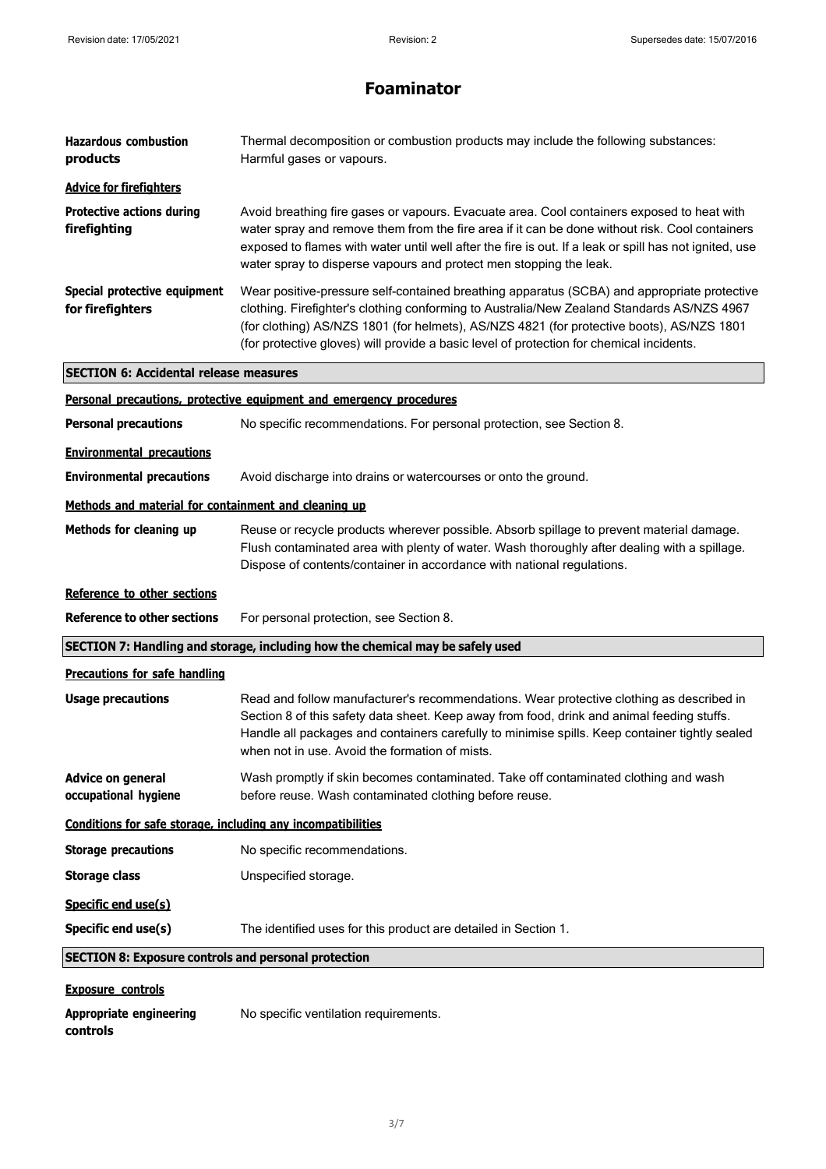| <b>Hazardous combustion</b><br>products                      | Thermal decomposition or combustion products may include the following substances:<br>Harmful gases or vapours.                                                                                                                                                                                                                                                                    |
|--------------------------------------------------------------|------------------------------------------------------------------------------------------------------------------------------------------------------------------------------------------------------------------------------------------------------------------------------------------------------------------------------------------------------------------------------------|
| <b>Advice for firefighters</b>                               |                                                                                                                                                                                                                                                                                                                                                                                    |
| <b>Protective actions during</b><br>firefighting             | Avoid breathing fire gases or vapours. Evacuate area. Cool containers exposed to heat with<br>water spray and remove them from the fire area if it can be done without risk. Cool containers<br>exposed to flames with water until well after the fire is out. If a leak or spill has not ignited, use<br>water spray to disperse vapours and protect men stopping the leak.       |
| Special protective equipment<br>for firefighters             | Wear positive-pressure self-contained breathing apparatus (SCBA) and appropriate protective<br>clothing. Firefighter's clothing conforming to Australia/New Zealand Standards AS/NZS 4967<br>(for clothing) AS/NZS 1801 (for helmets), AS/NZS 4821 (for protective boots), AS/NZS 1801<br>(for protective gloves) will provide a basic level of protection for chemical incidents. |
| <b>SECTION 6: Accidental release measures</b>                |                                                                                                                                                                                                                                                                                                                                                                                    |
|                                                              | Personal precautions, protective equipment and emergency procedures                                                                                                                                                                                                                                                                                                                |
| <b>Personal precautions</b>                                  | No specific recommendations. For personal protection, see Section 8.                                                                                                                                                                                                                                                                                                               |
| <b>Environmental precautions</b>                             |                                                                                                                                                                                                                                                                                                                                                                                    |
| <b>Environmental precautions</b>                             | Avoid discharge into drains or watercourses or onto the ground.                                                                                                                                                                                                                                                                                                                    |
| Methods and material for containment and cleaning up         |                                                                                                                                                                                                                                                                                                                                                                                    |
| Methods for cleaning up                                      | Reuse or recycle products wherever possible. Absorb spillage to prevent material damage.<br>Flush contaminated area with plenty of water. Wash thoroughly after dealing with a spillage.<br>Dispose of contents/container in accordance with national regulations.                                                                                                                 |
| Reference to other sections                                  |                                                                                                                                                                                                                                                                                                                                                                                    |
| <b>Reference to other sections</b>                           | For personal protection, see Section 8.                                                                                                                                                                                                                                                                                                                                            |
|                                                              | SECTION 7: Handling and storage, including how the chemical may be safely used                                                                                                                                                                                                                                                                                                     |
| <b>Precautions for safe handling</b>                         |                                                                                                                                                                                                                                                                                                                                                                                    |
| <b>Usage precautions</b>                                     | Read and follow manufacturer's recommendations. Wear protective clothing as described in<br>Section 8 of this safety data sheet. Keep away from food, drink and animal feeding stuffs.<br>Handle all packages and containers carefully to minimise spills. Keep container tightly sealed<br>when not in use. Avoid the formation of mists.                                         |
| <b>Advice on general</b><br>occupational hygiene             | Wash promptly if skin becomes contaminated. Take off contaminated clothing and wash<br>before reuse. Wash contaminated clothing before reuse.                                                                                                                                                                                                                                      |
| Conditions for safe storage, including any incompatibilities |                                                                                                                                                                                                                                                                                                                                                                                    |
| <b>Storage precautions</b>                                   | No specific recommendations.                                                                                                                                                                                                                                                                                                                                                       |
| <b>Storage class</b>                                         | Unspecified storage.                                                                                                                                                                                                                                                                                                                                                               |
| Specific end use(s)                                          |                                                                                                                                                                                                                                                                                                                                                                                    |
| Specific end use(s)                                          | The identified uses for this product are detailed in Section 1.                                                                                                                                                                                                                                                                                                                    |
| <b>SECTION 8: Exposure controls and personal protection</b>  |                                                                                                                                                                                                                                                                                                                                                                                    |
| <b>Exposure controls</b>                                     |                                                                                                                                                                                                                                                                                                                                                                                    |
| <b>Appropriate engineering</b>                               | No specific ventilation requirements.                                                                                                                                                                                                                                                                                                                                              |

**controls**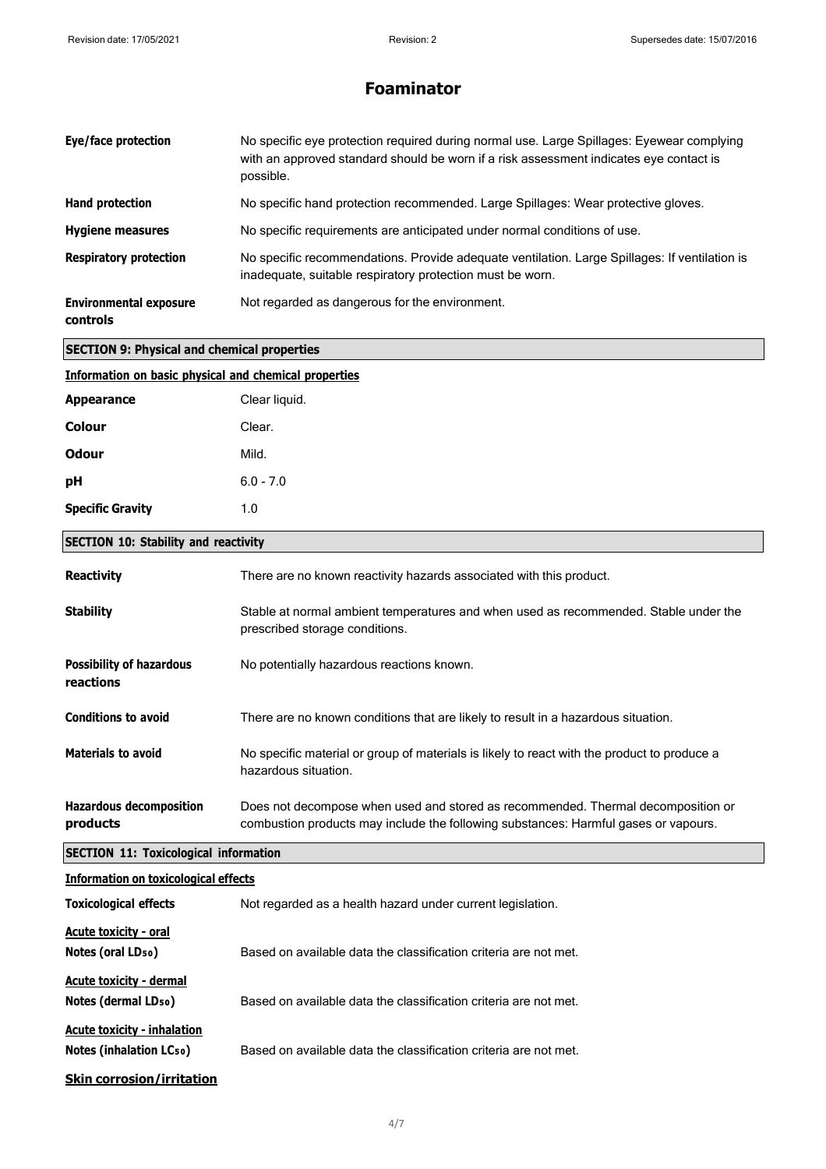| Eye/face protection                              | No specific eye protection required during normal use. Large Spillages: Eyewear complying<br>with an approved standard should be worn if a risk assessment indicates eye contact is<br>possible. |
|--------------------------------------------------|--------------------------------------------------------------------------------------------------------------------------------------------------------------------------------------------------|
| Hand protection                                  | No specific hand protection recommended. Large Spillages: Wear protective gloves.                                                                                                                |
| <b>Hygiene measures</b>                          | No specific requirements are anticipated under normal conditions of use.                                                                                                                         |
| <b>Respiratory protection</b>                    | No specific recommendations. Provide adequate ventilation. Large Spillages: If ventilation is<br>inadequate, suitable respiratory protection must be worn.                                       |
| <b>Environmental exposure</b><br><b>controls</b> | Not regarded as dangerous for the environment.                                                                                                                                                   |

| Information on basic physical and chemical properties |               |
|-------------------------------------------------------|---------------|
| <b>Appearance</b>                                     | Clear liquid. |
| <b>Colour</b>                                         | Clear.        |
| <b>Odour</b>                                          | Mild.         |
| pH                                                    | $6.0 - 7.0$   |
| <b>Specific Gravity</b>                               | 1.0           |

#### **SECTION 10: Stability and reactivity**

**SECTION 9: Physical and chemical properties**

| <b>Reactivity</b>                                                    | There are no known reactivity hazards associated with this product.                                                                                                     |
|----------------------------------------------------------------------|-------------------------------------------------------------------------------------------------------------------------------------------------------------------------|
| <b>Stability</b>                                                     | Stable at normal ambient temperatures and when used as recommended. Stable under the<br>prescribed storage conditions.                                                  |
| <b>Possibility of hazardous</b><br>reactions                         | No potentially hazardous reactions known.                                                                                                                               |
| <b>Conditions to avoid</b>                                           | There are no known conditions that are likely to result in a hazardous situation.                                                                                       |
| <b>Materials to avoid</b>                                            | No specific material or group of materials is likely to react with the product to produce a<br>hazardous situation.                                                     |
| <b>Hazardous decomposition</b><br>products                           | Does not decompose when used and stored as recommended. Thermal decomposition or<br>combustion products may include the following substances: Harmful gases or vapours. |
| <b>SECTION 11: Toxicological information</b>                         |                                                                                                                                                                         |
| <b>Information on toxicological effects</b>                          |                                                                                                                                                                         |
| <b>Toxicological effects</b>                                         | Not regarded as a health hazard under current legislation.                                                                                                              |
| <b>Acute toxicity - oral</b><br>Notes (oral LD <sub>50</sub> )       | Based on available data the classification criteria are not met.                                                                                                        |
| <b>Acute toxicity - dermal</b><br>Notes (dermal LD <sub>50</sub> )   | Based on available data the classification criteria are not met.                                                                                                        |
| <b>Acute toxicity - inhalation</b><br><b>Notes (inhalation LCso)</b> | Based on available data the classification criteria are not met.                                                                                                        |
| <b>Skin corrosion/irritation</b>                                     |                                                                                                                                                                         |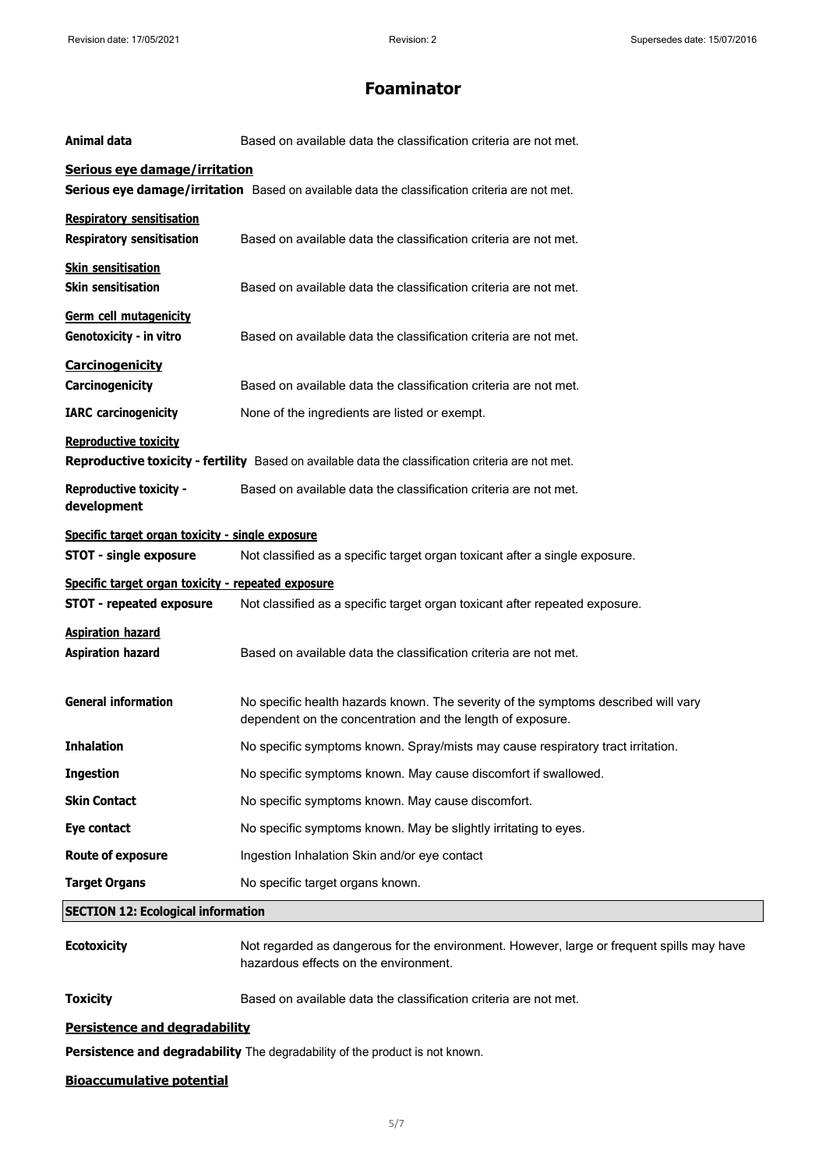| Animal data                                                                           | Based on available data the classification criteria are not met.                                                                                 |
|---------------------------------------------------------------------------------------|--------------------------------------------------------------------------------------------------------------------------------------------------|
| Serious eye damage/irritation                                                         | Serious eye damage/irritation Based on available data the classification criteria are not met.                                                   |
| <b>Respiratory sensitisation</b><br><b>Respiratory sensitisation</b>                  | Based on available data the classification criteria are not met.                                                                                 |
| <b>Skin sensitisation</b><br><b>Skin sensitisation</b>                                | Based on available data the classification criteria are not met.                                                                                 |
| Germ cell mutagenicity<br>Genotoxicity - in vitro                                     | Based on available data the classification criteria are not met.                                                                                 |
| <b>Carcinogenicity</b><br>Carcinogenicity                                             | Based on available data the classification criteria are not met.                                                                                 |
| <b>IARC</b> carcinogenicity                                                           | None of the ingredients are listed or exempt.                                                                                                    |
| <b>Reproductive toxicity</b>                                                          | Reproductive toxicity - fertility Based on available data the classification criteria are not met.                                               |
| <b>Reproductive toxicity -</b><br>development                                         | Based on available data the classification criteria are not met.                                                                                 |
| Specific target organ toxicity - single exposure<br><b>STOT - single exposure</b>     | Not classified as a specific target organ toxicant after a single exposure.                                                                      |
| Specific target organ toxicity - repeated exposure<br><b>STOT - repeated exposure</b> | Not classified as a specific target organ toxicant after repeated exposure.                                                                      |
| <b>Aspiration hazard</b><br><b>Aspiration hazard</b>                                  | Based on available data the classification criteria are not met.                                                                                 |
| <b>General information</b>                                                            | No specific health hazards known. The severity of the symptoms described will vary<br>dependent on the concentration and the length of exposure. |
| <b>Inhalation</b>                                                                     | No specific symptoms known. Spray/mists may cause respiratory tract irritation.                                                                  |
| <b>Ingestion</b>                                                                      | No specific symptoms known. May cause discomfort if swallowed.                                                                                   |
| <b>Skin Contact</b>                                                                   | No specific symptoms known. May cause discomfort.                                                                                                |
| Eye contact                                                                           | No specific symptoms known. May be slightly irritating to eyes.                                                                                  |
| <b>Route of exposure</b>                                                              | Ingestion Inhalation Skin and/or eye contact                                                                                                     |
| <b>Target Organs</b>                                                                  | No specific target organs known.                                                                                                                 |
| <b>SECTION 12: Ecological information</b>                                             |                                                                                                                                                  |
| <b>Ecotoxicity</b>                                                                    | Not regarded as dangerous for the environment. However, large or frequent spills may have<br>hazardous effects on the environment.               |
| <b>Toxicity</b>                                                                       | Based on available data the classification criteria are not met.                                                                                 |
| Persistence and degradability                                                         |                                                                                                                                                  |
| Persistence and degradability The degradability of the product is not known.          |                                                                                                                                                  |

#### **Bioaccumulative potential**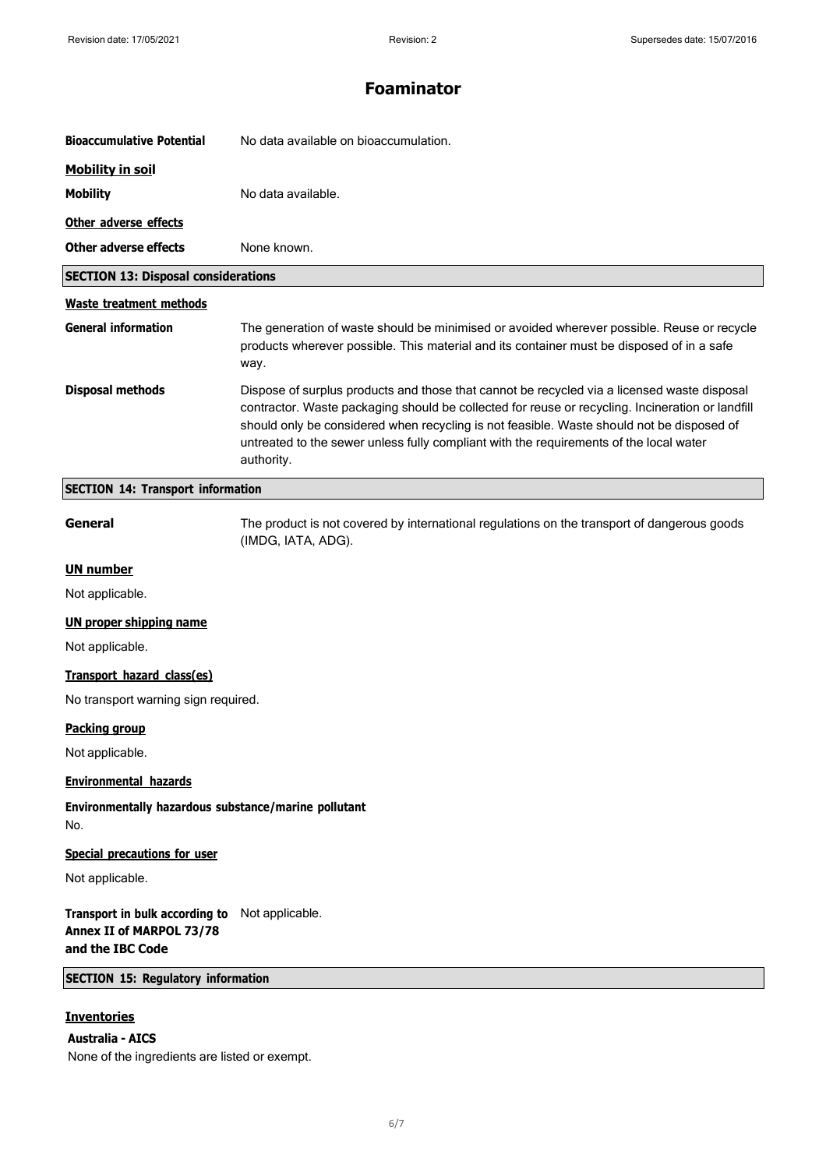| <b>Bioaccumulative Potential</b>                                               | No data available on bioaccumulation.                                                                                                                                                                                                                                                                                                                                                                |
|--------------------------------------------------------------------------------|------------------------------------------------------------------------------------------------------------------------------------------------------------------------------------------------------------------------------------------------------------------------------------------------------------------------------------------------------------------------------------------------------|
| <b>Mobility in soil</b>                                                        |                                                                                                                                                                                                                                                                                                                                                                                                      |
| <b>Mobility</b>                                                                | No data available.                                                                                                                                                                                                                                                                                                                                                                                   |
| Other adverse effects                                                          |                                                                                                                                                                                                                                                                                                                                                                                                      |
| <b>Other adverse effects</b>                                                   | None known.                                                                                                                                                                                                                                                                                                                                                                                          |
| <b>SECTION 13: Disposal considerations</b>                                     |                                                                                                                                                                                                                                                                                                                                                                                                      |
| <b>Waste treatment methods</b>                                                 |                                                                                                                                                                                                                                                                                                                                                                                                      |
| <b>General information</b>                                                     | The generation of waste should be minimised or avoided wherever possible. Reuse or recycle<br>products wherever possible. This material and its container must be disposed of in a safe<br>way.                                                                                                                                                                                                      |
| <b>Disposal methods</b>                                                        | Dispose of surplus products and those that cannot be recycled via a licensed waste disposal<br>contractor. Waste packaging should be collected for reuse or recycling. Incineration or landfill<br>should only be considered when recycling is not feasible. Waste should not be disposed of<br>untreated to the sewer unless fully compliant with the requirements of the local water<br>authority. |
| <b>SECTION 14: Transport information</b>                                       |                                                                                                                                                                                                                                                                                                                                                                                                      |
| General                                                                        | The product is not covered by international regulations on the transport of dangerous goods<br>(IMDG, IATA, ADG).                                                                                                                                                                                                                                                                                    |
| <b>UN number</b>                                                               |                                                                                                                                                                                                                                                                                                                                                                                                      |
| Not applicable.                                                                |                                                                                                                                                                                                                                                                                                                                                                                                      |
| <b>UN proper shipping name</b>                                                 |                                                                                                                                                                                                                                                                                                                                                                                                      |
| Not applicable.                                                                |                                                                                                                                                                                                                                                                                                                                                                                                      |
| Transport hazard class(es)                                                     |                                                                                                                                                                                                                                                                                                                                                                                                      |
| No transport warning sign required.                                            |                                                                                                                                                                                                                                                                                                                                                                                                      |
| <u>Packing group</u>                                                           |                                                                                                                                                                                                                                                                                                                                                                                                      |
| Not applicable.                                                                |                                                                                                                                                                                                                                                                                                                                                                                                      |
| <b>Environmental hazards</b>                                                   |                                                                                                                                                                                                                                                                                                                                                                                                      |
| Environmentally hazardous substance/marine pollutant<br>No.                    |                                                                                                                                                                                                                                                                                                                                                                                                      |
| <b>Special precautions for user</b>                                            |                                                                                                                                                                                                                                                                                                                                                                                                      |
| Not applicable.                                                                |                                                                                                                                                                                                                                                                                                                                                                                                      |
| Transport in bulk according to<br>Annex II of MARPOL 73/78<br>and the IBC Code | Not applicable.                                                                                                                                                                                                                                                                                                                                                                                      |
| <b>SECTION 15: Regulatory information</b>                                      |                                                                                                                                                                                                                                                                                                                                                                                                      |
| <b>Inventories</b><br><b>Australia - AICS</b>                                  |                                                                                                                                                                                                                                                                                                                                                                                                      |

None of the ingredients are listed or exempt.